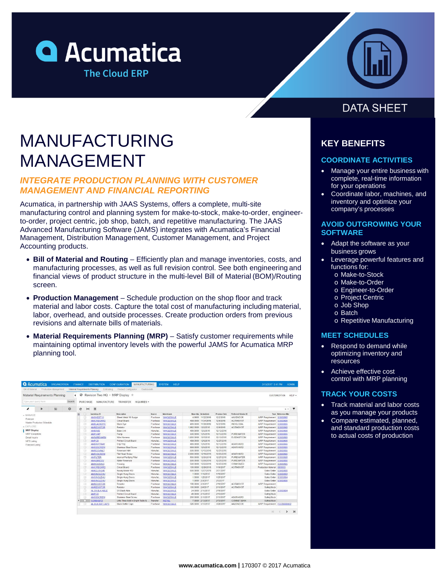



# MANUFACTURING MANAGEMENT

# *INTEGRATE PRODUCTION PLANNING WITH CUSTOMER MANAGEMENT AND FINANCIAL REPORTING*

Acumatica, in partnership with JAAS Systems, offers a complete, multi-site manufacturing control and planning system for make-to-stock, make-to-order, engineerto-order, project centric, job shop, batch, and repetitive manufacturing. The JAAS Advanced Manufacturing Software (JAMS) integrates with Acumatica's Financial Management, Distribution Management, Customer Management, and Project Accounting products.

- **Bill of Material and Routing**  Efficiently plan and manage inventories, costs, and manufacturing processes, as well as full revision control. See both engineering and financial views of product structure in the multi-level Bill of Material (BOM)/Routing screen.
- **Production Management**  Schedule production on the shop floor and track material and labor costs. Capture the total cost of manufacturing including material, labor, overhead, and outside processes. Create production orders from previous revisions and alternate bills of materials.
- Material Requirements Planning (MRP) Satisfy customer requirements while maintaining optimal inventory levels with the powerful JAMS for Acumatica MRP planning tool.

| <b>Bill of Material</b><br>Production Management |         |                          | Material Requirements Planning<br>Estimating | Product Configurator<br>Darshboards |           |                    |                       |                            |                     |                     |                             |                           |         |
|--------------------------------------------------|---------|--------------------------|----------------------------------------------|-------------------------------------|-----------|--------------------|-----------------------|----------------------------|---------------------|---------------------|-----------------------------|---------------------------|---------|
| Material Requirements Planning<br>$\epsilon$     | $\circ$ |                          | Revision Two HQ - MRP Display $\pm$          |                                     |           |                    |                       |                            |                     |                     |                             | <b>CUSTOMIZATION</b>      | HELP +  |
| Type your query here<br>Search                   |         | PURCHASE                 | MANUFACTURE                                  | INQUIRIES .<br>TRANSFER             |           |                    |                       |                            |                     |                     |                             |                           |         |
| 间<br>x,<br>$\epsilon$<br>٠                       | c       | $\left  \bullet \right $ | $\boxed{\mathbf{x}}$                         |                                     |           |                    |                       |                            |                     |                     |                             |                           | $x - T$ |
| $-$ MANAGE                                       | ٠       | D.                       | Inventory ID                                 | Description                         | Source    | Warehouse          |                       | <b>Base Qty ActionDate</b> | <b>Promise Date</b> | Preferred Vendor ID |                             | <b>Type Reference Nbr</b> |         |
|                                                  |         | o                        | AMSHEET10                                    | Sheet Metal 10 Guage                | Purchase  | <b>WHOLESALE</b>   |                       | 4.9900 11/22/2016          | 12/2/2016           | <b>AAVENDOR</b>     | MRP Requirement SO003595    |                           |         |
| Forecast                                         |         | $\Box$                   | <b>AMCIRBOARD</b>                            | Circuit Board                       | Purchase  | <b>WHOLESALE</b>   |                       | 498.0000 11/24/2016        | 12/9/2016           | <b>ACITAISYST</b>   | MRP Requirement SO003695    |                           |         |
| Master Production Schedule                       |         | o                        | <b>AMBLACKDYE</b>                            | Black Dye                           | Purchase  | <b>WHOLESALE</b>   |                       | 499.0000 11/28/2016        | 12/2/2016           | INDGLOBAL           | MRP Requirement SO003695    |                           |         |
| - EXPLORE                                        |         | $\Box$                   | <b>AMRESISTOR</b>                            | Resistor                            | Purchase  | <b>WHOLESALE</b>   | 1.992.0000            | 12/2/2016                  | 12/9/2016           | <b>ACITAISYST</b>   | MRP Requirement SO003695    |                           |         |
| <b>MRP Display</b>                               |         | o                        | <b>AMBASE</b>                                | Base Unit                           | Manufac.  | <b>WHOLESALE</b>   |                       | 499.0000 12/2/2016         | 12/12/2016          |                     | MRP Requirement SO003695    |                           |         |
| MRP Exceptions                                   |         | o                        | <b>AMPUMP</b>                                | Pump                                | Purchase  | <b>WHOLESALE</b>   | 500.0000 12/5/2016    |                            | 12/12/2016          | PUREWATER           | MRP Requirement SO003695    |                           |         |
| Detail Inquiry                                   |         | o                        | <b>AMWREHARN</b>                             | Wire Harness                        | Purchase. | <b>WHOLESALE</b>   | 1,000,0000 12/7/2016  |                            | 12/12/2016          | ELEEASTCOM          | MRP Requirement SO003695    |                           |         |
| MPS Listing                                      |         | $\Box$                   | <b>AMPCB</b>                                 | Printed Circuit Board               | Manufac.  | <b>WHOLESALE</b>   | 498,0000              | 12/9/2016                  | 12/27/2016          |                     | MRP Requirement SO003695    |                           |         |
| Forecast Listing                                 |         | U                        | <b>AMDRIPTRAY</b>                            | Drip Tray                           | Purchase  | <b>WHOLESALE</b>   |                       | 499.0000 12/9/2016         | 12/12/2016          | <b>ASARHARD</b>     | MRP Requirement SC003695    |                           |         |
|                                                  |         | $\Box$                   | <b>AMSSSCREW</b>                             | Stainless Steel Screw               | Purchase. | <b>WHOLESALE</b>   | 998.0000 12/9/2016    |                            | 12/12/2016          | <b>ASARHARD</b>     | MRP Requirement SO003695    |                           |         |
|                                                  |         | $\Box$                   | <b>AMRESVINLT</b>                            | Reservoir Inlet                     | Manufac   | <b>WHOLESALE</b>   |                       | 500.0000 12/12/2016        | 12/27/2016          |                     | MRP Requirement SO003695    |                           |         |
|                                                  |         | o                        | <b>AMEHSCREW</b>                             | Flat Head Screw                     | Purchase  | <b>WHOLESALE</b>   | 2.000.0000 12/16/2016 |                            | 12/20/2016          | <b>ASARHARD</b>     | MRP Requirement SO003695    |                           |         |
|                                                  |         | o                        | <b>AMEILTER</b>                              | Internal Purifying Filter           | Purchase  | <b>WHOLESALE</b>   |                       | 500.0000 12/20/2016        | 12/27/2016          | PUREWATER           | MRP Requirement SO003695    |                           |         |
|                                                  |         | O                        | AMH20RESV                                    | Water Reservoir                     | Purchase  | <b>WHOLESALE</b>   |                       | 500,0000 12/20/2016        | 12/27/2016          | PUREWATER           | MRP Requirement SO003695    |                           |         |
|                                                  |         | E.                       | <b>AMHOUSING</b>                             | Housing                             | Purchase. | <b>WHOLESALE</b>   |                       | 500.0000 12/22/2016        | 12/27/2016          | CONHOMED            | MRP Requirement SO003695    |                           |         |
|                                                  |         | $\Box$                   | AMCIRBOARD                                   | Circuit Board                       | Purchase  | <b>WHOLESALE</b>   | 100,0000              | 12/26/2016                 | 1/10/2017           | <b>ACITAISYST</b>   | Production Material         | 0000003                   |         |
|                                                  |         | O                        | <b>AMKEURIG45</b>                            | Keurig Model 450                    | Manufac.  | <b>WHOLESALE</b>   |                       | 500,0000 12/27/2016        | 3/31/2017           |                     | Sales Order SO003696        |                           |         |
|                                                  |         | o                        | <b>AMSINGLEHU</b>                            | Single Hung Doors                   | Manufac.  | <b>WHOLESALE</b>   |                       | 1.0000 1/19/2017           | 1/19/2017           |                     | Sales Order SO003693        |                           |         |
|                                                  |         | o                        | <b>AMSINGLEHU</b>                            | Single Hung Doors                   | Manufac.  | <b>WHOLESALE</b>   |                       | 1.0000 1/25/2017           | 1/25/2017           |                     | Sales Order SO003694        |                           |         |
|                                                  |         | $\Box$                   | <b>AMSINGLEHU</b>                            | Single Hung Doors                   | Manufac.  | <b>WHOLESALE</b>   |                       | 1.0000 2/3/2017            | 2/3/2017            |                     | Sales Order SO003895        |                           |         |
|                                                  |         | Ð                        | <b>AMRESISTOR</b>                            | Resistor                            | Purchase  | <b>WHOLESALE</b>   | 196.0000 2/3/2017     |                            | 2/10/2017           | <b>ACITAISYST</b>   | <b>MRP Requirement</b>      |                           |         |
|                                                  |         | O                        | <b>AMRESISTOR</b>                            | Resistor                            | Purchase. | <b>WHOLESALE</b>   | 100 0000 2/8/2017     |                            | 2/13/2017           | <b>ACITAISYST</b>   | SafetyStock                 |                           |         |
|                                                  |         | O                        | AL D5 BLK ABLE                               | D5 Black Able                       | Manufac.  | <b>WHOLESALE</b>   |                       | 24.0000 2/10/2017          | 2/10/2017           |                     | Sales Order SO003694        |                           |         |
|                                                  |         | $\Box$                   | AMPCB                                        | Printed Circuit Board               | Manufac.  | <b>WHOLESALE</b>   |                       | 49.0000 2/10/2017          | 2/13/2017           |                     | SafetyStock                 |                           |         |
|                                                  |         | $\Box$                   | <b>AMSSSCREW</b>                             | Stainless Steel Screw               | Purchase  | <b>WHOLESALE</b>   | 200 0000 2/10/2017    |                            | 2/13/2017           | <b>ASARHARD</b>     | SafetyStock                 |                           |         |
|                                                  | ь       | m                        | <b>CONBABY2</b>                              | Little Tikes Bold n Bright Table &  | Transfer  | <b>RETAIL</b>      |                       | 7.0000 2/13/2017           | 2/13/2017           | CONNETJENN          | SafetyStock                 |                           |         |
|                                                  |         | O                        | <b>AL BLK BAT CAPS</b>                       | Black Battle Caps                   |           | Purchase WHOLESALE |                       | 326 0000 3/17/2017         | 3/28/2017           | <b>AAVENDOR</b>     | MRP Requirement ECST0000002 |                           |         |

# **DATA SHEET**

# **KEY BENEFITS**

## **COORDINATE ACTIVITIES**

- Manage your entire business with complete, real-time information for your operations
- Coordinate labor, machines, and inventory and optimize your company's processes

### **AVOID OUTGROWING YOUR SOFTWARE**

- Adapt the software as your business grows
- Leverage powerful features and functions for:
	- o Make-to-Stock
	- o Make-to-Order
	- o Engineer-to-Order
	- o Project Centric
	- o Job Shop
	- o Batch
	- o Repetitive Manufacturing

## **MEET SCHEDULES**

- Respond to demand while optimizing inventory and resources
- Achieve effective cost control with MRP planning

# **TRACK YOUR COSTS**

- Track material and labor costs as you manage your products
- Compare estimated, planned, and standard production costs to actual costs of production